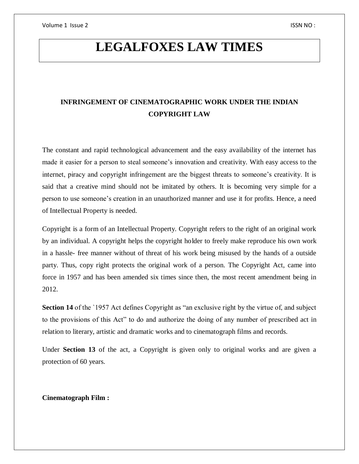# **LEGALFOXES LAW TIMES**

# **INFRINGEMENT OF CINEMATOGRAPHIC WORK UNDER THE INDIAN COPYRIGHT LAW**

The constant and rapid technological advancement and the easy availability of the internet has made it easier for a person to steal someone's innovation and creativity. With easy access to the internet, piracy and copyright infringement are the biggest threats to someone's creativity. It is said that a creative mind should not be imitated by others. It is becoming very simple for a person to use someone's creation in an unauthorized manner and use it for profits. Hence, a need of Intellectual Property is needed.

Copyright is a form of an Intellectual Property. Copyright refers to the right of an original work by an individual. A copyright helps the copyright holder to freely make reproduce his own work in a hassle- free manner without of threat of his work being misused by the hands of a outside party. Thus, copy right protects the original work of a person. The Copyright Act, came into force in 1957 and has been amended six times since then, the most recent amendment being in 2012.

**Section 14** of the '1957 Act defines Copyright as "an exclusive right by the virtue of, and subject to the provisions of this Act" to do and authorize the doing of any number of prescribed act in relation to literary, artistic and dramatic works and to cinematograph films and records.

Under **Section 13** of the act, a Copyright is given only to original works and are given a protection of 60 years.

#### **Cinematograph Film :**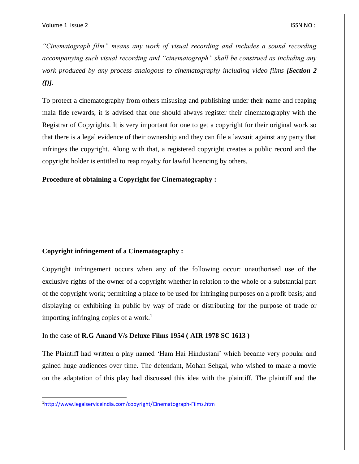*"Cinematograph film" means any work of visual recording and includes a sound recording accompanying such visual recording and "cinematograph" shall be construed as including any work produced by any process analogous to cinematography including video films [Section 2 (f)].*

To protect a cinematography from others misusing and publishing under their name and reaping mala fide rewards, it is advised that one should always register their cinematography with the Registrar of Copyrights. It is very important for one to get a copyright for their original work so that there is a legal evidence of their ownership and they can file a lawsuit against any party that infringes the copyright. Along with that, a registered copyright creates a public record and the copyright holder is entitled to reap royalty for lawful licencing by others.

## **Procedure of obtaining a Copyright for Cinematography :**

# **Copyright infringement of a Cinematography :**

Copyright infringement occurs when any of the following occur: unauthorised use of the exclusive rights of the owner of a copyright whether in relation to the whole or a substantial part of the copyright work; permitting a place to be used for infringing purposes on a profit basis; and displaying or exhibiting in public by way of trade or distributing for the purpose of trade or importing infringing copies of a work.<sup>1</sup>

#### In the case of **R.G Anand V/s Deluxe Films 1954 ( AIR 1978 SC 1613 )** –

The Plaintiff had written a play named 'Ham Hai Hindustani' which became very popular and gained huge audiences over time. The defendant, Mohan Sehgal, who wished to make a movie on the adaptation of this play had discussed this idea with the plaintiff. The plaintiff and the

 $\overline{a}$ 

<sup>1</sup><http://www.legalserviceindia.com/copyright/Cinematograph-Films.htm>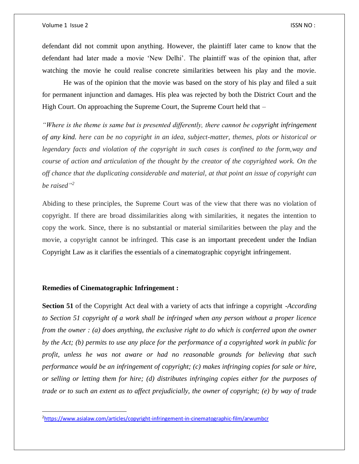defendant did not commit upon anything. However, the plaintiff later came to know that the defendant had later made a movie 'New Delhi'. The plaintiff was of the opinion that, after watching the movie he could realise concrete similarities between his play and the movie.

He was of the opinion that the movie was based on the story of his play and filed a suit for permanent injunction and damages. His plea was rejected by both the District Court and the High Court. On approaching the Supreme Court, the Supreme Court held that –

*"Where is the theme is same but is presented differently, there cannot be copyright infringement of any kind. here can be no copyright in an idea, subject-matter, themes, plots or historical or legendary facts and violation of the copyright in such cases is confined to the form,way and course of action and articulation of the thought by the creator of the copyrighted work. On the off chance that the duplicating considerable and material, at that point an issue of copyright can be raised" 2*

Abiding to these principles, the Supreme Court was of the view that there was no violation of copyright. If there are broad dissimilarities along with similarities, it negates the intention to copy the work. Since, there is no substantial or material similarities between the play and the movie, a copyright cannot be infringed. This case is an important precedent under the Indian Copyright Law as it clarifies the essentials of a cinematographic copyright infringement.

#### **Remedies of Cinematographic Infringement :**

 $\overline{a}$ 

**Section 51** of the Copyright Act deal with a variety of acts that infringe a copyright -*According to Section 51 copyright of a work shall be infringed when any person without a proper licence from the owner : (a) does anything, the exclusive right to do which is conferred upon the owner by the Act; (b) permits to use any place for the performance of a copyrighted work in public for profit, unless he was not aware or had no reasonable grounds for believing that such performance would be an infringement of copyright; (c) makes infringing copies for sale or hire, or selling or letting them for hire; (d) distributes infringing copies either for the purposes of trade or to such an extent as to affect prejudicially, the owner of copyright; (e) by way of trade* 

<sup>2</sup><https://www.asialaw.com/articles/copyright-infringement-in-cinematographic-film/arwumbcr>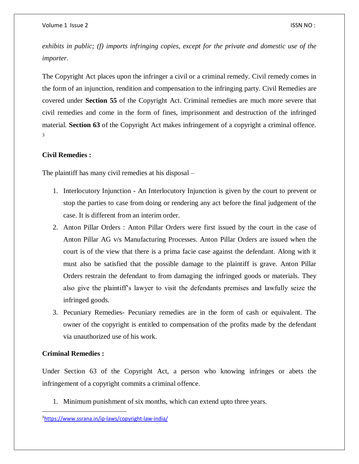*exhibits in public; (f) imports infringing copies, except for the private and domestic use of the importer.*

The Copyright Act places upon the infringer a civil or a criminal remedy. Civil remedy comes in the form of an injunction, rendition and compensation to the infringing party. Civil Remedies are covered under **Section 55** of the Copyright Act. Criminal remedies are much more severe that civil remedies and come in the form of fines, imprisonment and destruction of the infringed material. **Section 63** of the Copyright Act makes infringement of a copyright a criminal offence. 3

# **Civil Remedies :**

The plaintiff has many civil remedies at his disposal –

- 1. Interlocutory Injunction An Interlocutory Injunction is given by the court to prevent or stop the parties to case from doing or rendering any act before the final judgement of the case. It is different from an interim order.
- 2. Anton Pillar Orders : Anton Pillar Orders were first issued by the court in the case of Anton Pillar AG v/s Manufacturing Processes. Anton Pillar Orders are issued when the court is of the view that there is a prima facie case against the defendant. Along with it must also be satisfied that the possible damage to the plaintiff is grave. Anton Pillar Orders restrain the defendant to from damaging the infringed goods or materials. They also give the plaintiff's lawyer to visit the defendants premises and lawfully seize the infringed goods.
- 3. Pecuniary Remedies- Pecuniary remedies are in the form of cash or equivalent. The owner of the copyright is entitled to compensation of the profits made by the defendant via unauthorized use of his work.

#### **Criminal Remedies :**

 $\overline{a}$ 

Under Section 63 of the Copyright Act, a person who knowing infringes or abets the infringement of a copyright commits a criminal offence.

1. Minimum punishment of six months, which can extend upto three years.

<sup>3</sup><https://www.ssrana.in/ip-laws/copyright-law-india/>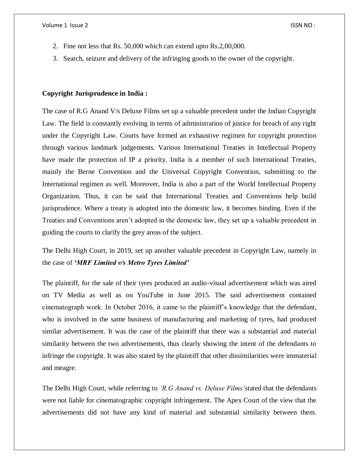- 2. Fine not less that Rs. 50,000 which can extend upto Rs.2,00,000.
- 3. Search, seizure and delivery of the infringing goods to the owner of the copyright.

## **Copyright Jurisprudence in India :**

The case of R.G Anand V/s Deluxe Films set up a valuable precedent under the Indian Copyright Law. The field is constantly evolving in terms of administration of justice for breach of any right under the Copyright Law. Courts have formed an exhaustive regimen for copyright protection through various landmark judgements. Various International Treaties in Intellectual Property have made the protection of IP a priority. India is a member of such International Treaties, mainly the Berne Convention and the Universal Copyright Convention, submitting to the International regimen as well. Moreover, India is also a part of the World Intellectual Property Organization. Thus, it can be said that International Treaties and Conventions help build jurisprudence. Where a treaty is adopted into the domestic law, it becomes binding. Even if the Treaties and Conventions aren't adopted in the domestic law, they set up a valuable precedent in guiding the courts to clarify the grey areas of the subject.

The Delhi High Court, in 2019, set up another valuable precedent in Copyright Law, namely in the case of *'MRF Limited v/s Metro Tyres Limited'*

The plaintiff, for the sale of their tyres produced an audio-visual advertisement which was aired on TV Media as well as on YouTube in June 2015. The said advertisement contained cinematograph work. In October 2016, it came to the plaintiff's knowledge that the defendant, who is involved in the same business of manufacturing and marketing of tyres, had produced similar advertisement. It was the case of the plaintiff that there was a substantial and material similarity between the two advertisements, thus clearly showing the intent of the defendants to infringe the copyright. It was also stated by the plaintiff that other dissimilarities were immaterial and meagre.

The Delhi High Court, while referring to *'R.G Anand vs. Deluxe Films'*stated that the defendants were not liable for cinematographic copyright infringement. The Apex Court of the view that the advertisements did not have any kind of material and substantial similarity between them.